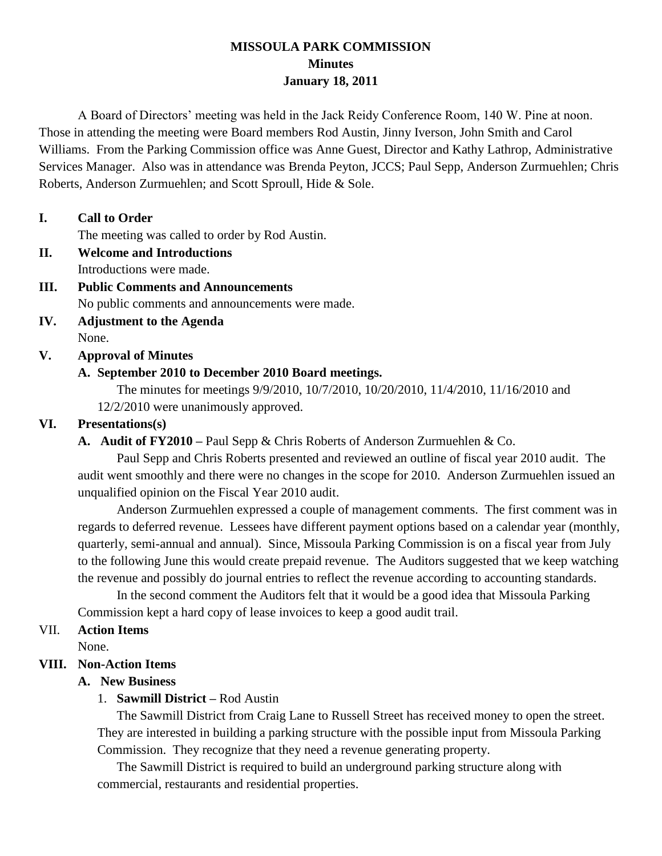## **MISSOULA PARK COMMISSION Minutes January 18, 2011**

A Board of Directors' meeting was held in the Jack Reidy Conference Room, 140 W. Pine at noon. Those in attending the meeting were Board members Rod Austin, Jinny Iverson, John Smith and Carol Williams. From the Parking Commission office was Anne Guest, Director and Kathy Lathrop, Administrative Services Manager. Also was in attendance was Brenda Peyton, JCCS; Paul Sepp, Anderson Zurmuehlen; Chris Roberts, Anderson Zurmuehlen; and Scott Sproull, Hide & Sole.

#### **I. Call to Order**

The meeting was called to order by Rod Austin.

- **II. Welcome and Introductions** Introductions were made.
- **III. Public Comments and Announcements** No public comments and announcements were made.
- **IV. Adjustment to the Agenda** None.

# **V. Approval of Minutes**

## **A. September 2010 to December 2010 Board meetings.**

The minutes for meetings 9/9/2010, 10/7/2010, 10/20/2010, 11/4/2010, 11/16/2010 and

12/2/2010 were unanimously approved.

# **VI. Presentations(s)**

**A. Audit of FY2010 –** Paul Sepp & Chris Roberts of Anderson Zurmuehlen & Co.

Paul Sepp and Chris Roberts presented and reviewed an outline of fiscal year 2010 audit. The audit went smoothly and there were no changes in the scope for 2010. Anderson Zurmuehlen issued an unqualified opinion on the Fiscal Year 2010 audit.

Anderson Zurmuehlen expressed a couple of management comments. The first comment was in regards to deferred revenue. Lessees have different payment options based on a calendar year (monthly, quarterly, semi-annual and annual). Since, Missoula Parking Commission is on a fiscal year from July to the following June this would create prepaid revenue. The Auditors suggested that we keep watching the revenue and possibly do journal entries to reflect the revenue according to accounting standards.

In the second comment the Auditors felt that it would be a good idea that Missoula Parking Commission kept a hard copy of lease invoices to keep a good audit trail.

#### VII. **Action Items**

None.

# **VIII. Non-Action Items**

#### **A. New Business**

#### 1. **Sawmill District –** Rod Austin

The Sawmill District from Craig Lane to Russell Street has received money to open the street. They are interested in building a parking structure with the possible input from Missoula Parking Commission. They recognize that they need a revenue generating property.

The Sawmill District is required to build an underground parking structure along with commercial, restaurants and residential properties.